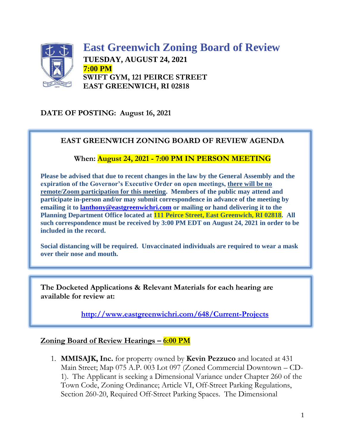

# **East Greenwich Zoning Board of Review TUESDAY, AUGUST 24, 2021 7:00 PM SWIFT GYM, 121 PEIRCE STREET EAST GREENWICH, RI 02818**

### **DATE OF POSTING: August 16, 2021**

# **EAST GREENWICH ZONING BOARD OF REVIEW AGENDA**

#### **When: August 24, 2021 - 7:00 PM IN PERSON MEETING**

**Please be advised that due to recent changes in the law by the General Assembly and the expiration of the Governor's Executive Order on open meetings, there will be no remote/Zoom participation for this meeting. Members of the public may attend and participate in-person and/or may submit correspondence in advance of the meeting by emailing it to [lanthony@eastgreenwichri.com](mailto:lanthony@eastgreenwichri.com) or mailing or hand delivering it to the Planning Department Office located at 111 Peirce Street, East Greenwich, RI 02818. All such correspondence must be received by 3:00 PM EDT on August 24, 2021 in order to be included in the record.**

**Social distancing will be required. Unvaccinated individuals are required to wear a mask over their nose and mouth.**

**The Docketed Applications & Relevant Materials for each hearing are available for review at:**

**<http://www.eastgreenwichri.com/648/Current-Projects>**

#### **Zoning Board of Review Hearings – 6:00 PM**

1. **MMISAJK, Inc.** for property owned by **Kevin Pezzuco** and located at 431 Main Street; Map 075 A.P. 003 Lot 097 (Zoned Commercial Downtown – CD-1). The Applicant is seeking a Dimensional Variance under Chapter 260 of the Town Code, Zoning Ordinance; Article VI, Off-Street Parking Regulations, Section 260-20, Required Off-Street Parking Spaces. The Dimensional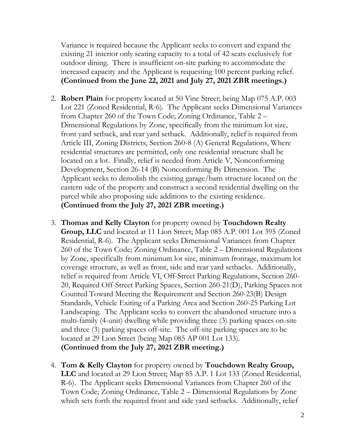Variance is required because the Applicant seeks to convert and expand the existing 21 interior only seating capacity to a total of 42 seats exclusively for outdoor dining. There is insufficient on-site parking to accommodate the increased capacity and the Applicant is requesting 100 percent parking relief. **(Continued from the June 22, 2021 and July 27, 2021 ZBR meetings.)**

- 2. **Robert Plain** for property located at 50 Vine Street; being Map 075 A.P. 003 Lot 221 (Zoned Residential, R-6). The Applicant seeks Dimensional Variances from Chapter 260 of the Town Code; Zoning Ordinance, Table 2 – Dimensional Regulations by Zone, specifically from the minimum lot size, front yard setback, and rear yard setback. Additionally, relief is required from Article III, Zoning Districts, Section 260-8 (A) General Regulations, Where residential structures are permitted, only one residential structure shall be located on a lot. Finally, relief is needed from Article V, Nonconforming Development, Section 26-14 (B) Nonconforming By Dimension. The Applicant seeks to demolish the existing garage/barn structure located on the eastern side of the property and construct a second residential dwelling on the parcel while also proposing side additions to the existing residence. **(Continued from the July 27, 2021 ZBR meeting.)**
- 3. **Thomas and Kelly Clayton** for property owned by **Touchdown Realty Group, LLC** and located at 11 Lion Street; Map 085 A.P. 001 Lot 395 (Zoned Residential, R-6). The Applicant seeks Dimensional Variances from Chapter 260 of the Town Code; Zoning Ordinance, Table 2 – Dimensional Regulations by Zone, specifically from minimum lot size, minimum frontage, maximum lot coverage structure, as well as front, side and rear yard setbacks. Additionally, relief is required from Article VI, Off-Street Parking Regulations, Section 260- 20, Required Off-Street Parking Spaces, Section 260-21(D), Parking Spaces not Counted Toward Meeting the Requirement and Section 260-23(B) Design Standards, Vehicle Exiting of a Parking Area and Section 260-25 Parking Lot Landscaping. The Applicant seeks to convert the abandoned structure into a multi-family (4-unit) dwelling while providing three (3) parking spaces on-site and three (3) parking spaces off-site. The off-site parking spaces are to be located at 29 Lion Street (being Map 085 AP 001 Lot 133). **(Continued from the July 27, 2021 ZBR meeting.)**
- 4. **Tom & Kelly Clayton** for property owned by **Touchdown Realty Group, LLC** and located at 29 Lion Street; Map 85 A.P. 1 Lot 133 (Zoned Residential, R-6). The Applicant seeks Dimensional Variances from Chapter 260 of the Town Code; Zoning Ordinance, Table 2 – Dimensional Regulations by Zone which sets forth the required front and side yard setbacks. Additionally, relief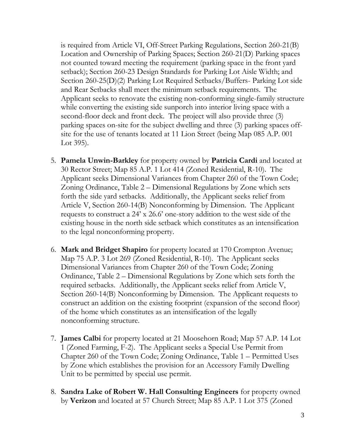is required from Article VI, Off-Street Parking Regulations, Section 260-21(B) Location and Ownership of Parking Spaces; Section 260-21(D) Parking spaces not counted toward meeting the requirement (parking space in the front yard setback); Section 260-23 Design Standards for Parking Lot Aisle Width; and Section 260-25(D)(2) Parking Lot Required Setbacks/Buffers- Parking Lot side and Rear Setbacks shall meet the minimum setback requirements. The Applicant seeks to renovate the existing non-conforming single-family structure while converting the existing side sunporch into interior living space with a second-floor deck and front deck. The project will also provide three (3) parking spaces on-site for the subject dwelling and three (3) parking spaces offsite for the use of tenants located at 11 Lion Street (being Map 085 A.P. 001 Lot 395).

- 5. **Pamela Unwin-Barkley** for property owned by **Patricia Cardi** and located at 30 Rector Street; Map 85 A.P. 1 Lot 414 (Zoned Residential, R-10). The Applicant seeks Dimensional Variances from Chapter 260 of the Town Code; Zoning Ordinance, Table 2 – Dimensional Regulations by Zone which sets forth the side yard setbacks. Additionally, the Applicant seeks relief from Article V, Section 260-14(B) Nonconforming by Dimension. The Applicant requests to construct a 24' x 26.6' one-story addition to the west side of the existing house in the north side setback which constitutes as an intensification to the legal nonconforming property.
- 6. **Mark and Bridget Shapiro** for property located at 170 Crompton Avenue; Map 75 A.P. 3 Lot 269 (Zoned Residential, R-10). The Applicant seeks Dimensional Variances from Chapter 260 of the Town Code; Zoning Ordinance, Table 2 – Dimensional Regulations by Zone which sets forth the required setbacks. Additionally, the Applicant seeks relief from Article V, Section 260-14(B) Nonconforming by Dimension. The Applicant requests to construct an addition on the existing footprint (expansion of the second floor) of the home which constitutes as an intensification of the legally nonconforming structure.
- 7. **James Calbi** for property located at 21 Moosehorn Road; Map 57 A.P. 14 Lot 1 (Zoned Farming, F-2). The Applicant seeks a Special Use Permit from Chapter 260 of the Town Code; Zoning Ordinance, Table 1 – Permitted Uses by Zone which establishes the provision for an Accessory Family Dwelling Unit to be permitted by special use permit.
- 8. **Sandra Lake of Robert W. Hall Consulting Engineers** for property owned by **Verizon** and located at 57 Church Street; Map 85 A.P. 1 Lot 375 (Zoned